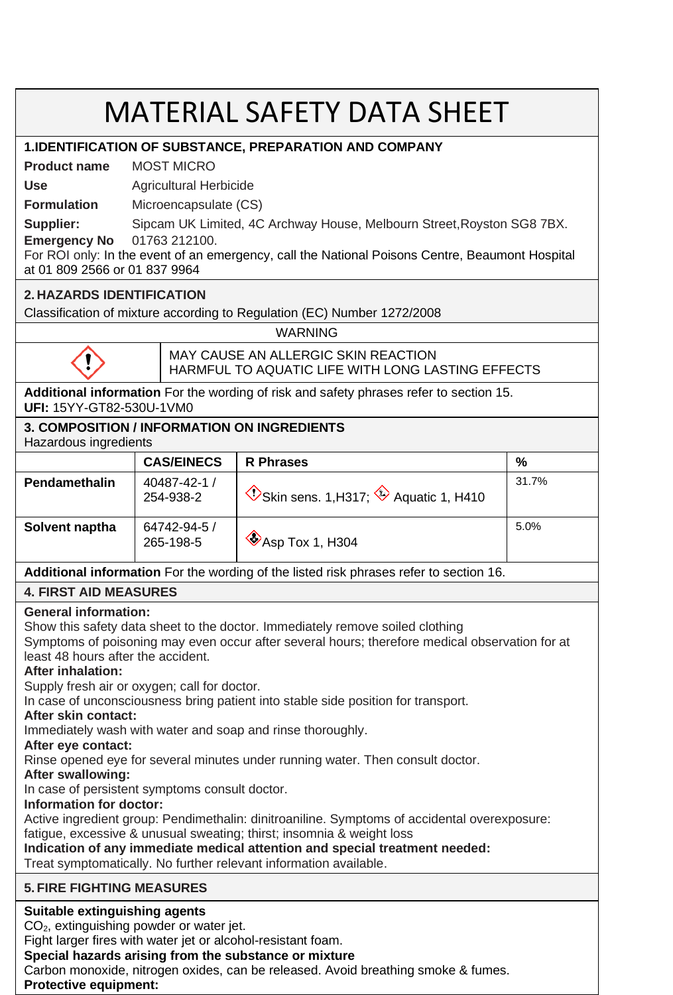# MATERIAL SAFETY DATA SHEET

### **1.IDENTIFICATION OF SUBSTANCE, PREPARATION AND COMPANY**

**Product name** MOST MICRO

**Use** Agricultural Herbicide

**Formulation** Microencapsulate (CS)

**Supplier:** Sipcam UK Limited, 4C Archway House, Melbourn Street,Royston SG8 7BX.

**Emergency No** 01763 212100. For ROI only: In the event of an emergency, call the National Poisons Centre, Beaumont Hospital at 01 809 2566 or 01 837 9964

## **2. HAZARDS IDENTIFICATION**

Classification of mixture according to Regulation (EC) Number 1272/2008

WARNING



MAY CAUSE AN ALLERGIC SKIN REACTION HARMFUL TO AQUATIC LIFE WITH LONG LASTING EFFECTS

**Additional information** For the wording of risk and safety phrases refer to section 15. **UFI:** 15YY-GT82-530U-1VM0

# **3. COMPOSITION / INFORMATION ON INGREDIENTS**

Hazardous ingredients

|                | <b>CAS/EINECS</b>         | <b>R</b> Phrases                                                  | %     |  |
|----------------|---------------------------|-------------------------------------------------------------------|-------|--|
| Pendamethalin  | 40487-42-1 /<br>254-938-2 | $\circledcirc$ Skin sens. 1, H317; $\circledcirc$ Aquatic 1, H410 | 31.7% |  |
| Solvent naptha | 64742-94-5 /<br>265-198-5 | $\otimes$ Asp Tox 1, H304                                         | 5.0%  |  |

**Additional information** For the wording of the listed risk phrases refer to section 16.

## **4. FIRST AID MEASURES**

## **General information:**

Show this safety data sheet to the doctor. Immediately remove soiled clothing

Symptoms of poisoning may even occur after several hours; therefore medical observation for at least 48 hours after the accident.

## **After inhalation:**

Supply fresh air or oxygen; call for doctor.

In case of unconsciousness bring patient into stable side position for transport.

#### **After skin contact:**

Immediately wash with water and soap and rinse thoroughly.

**After eye contact:**

Rinse opened eye for several minutes under running water. Then consult doctor.

#### **After swallowing:**

In case of persistent symptoms consult doctor.

#### **Information for doctor:**

Active ingredient group: Pendimethalin: dinitroaniline. Symptoms of accidental overexposure:

fatigue, excessive & unusual sweating; thirst; insomnia & weight loss

# **Indication of any immediate medical attention and special treatment needed:**

Treat symptomatically. No further relevant information available.

## **5. FIRE FIGHTING MEASURES**

## **Suitable extinguishing agents**

CO2, extinguishing powder or water jet.

Fight larger fires with water jet or alcohol-resistant foam.

#### **Special hazards arising from the substance or mixture**

Carbon monoxide, nitrogen oxides, can be released. Avoid breathing smoke & fumes.

### **Protective equipment:**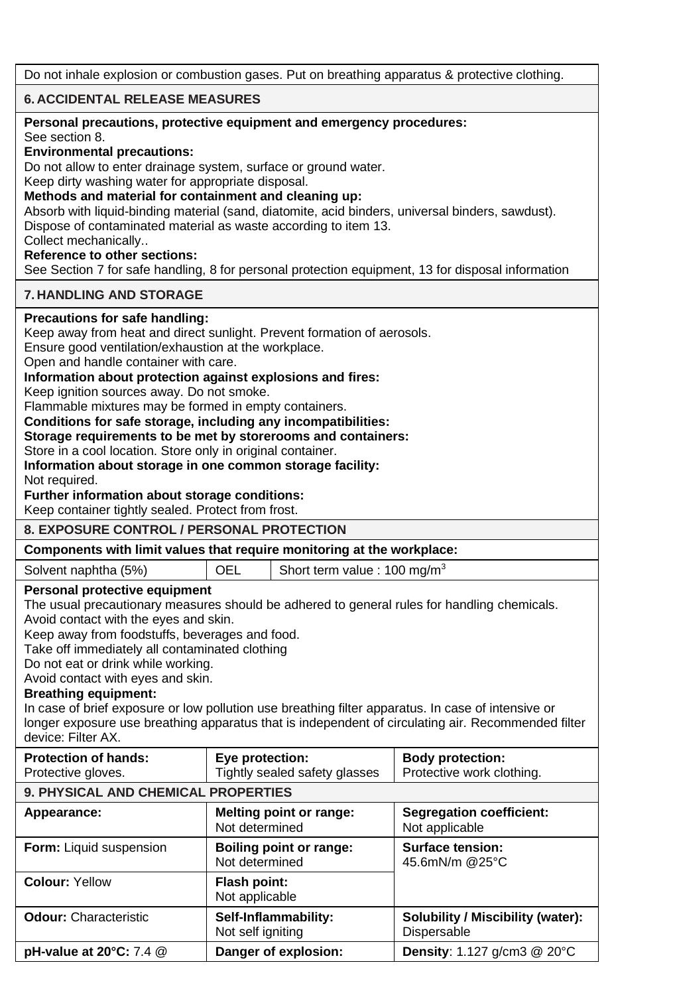Do not inhale explosion or combustion gases. Put on breathing apparatus & protective clothing.

# **6. ACCIDENTAL RELEASE MEASURES**

| Personal precautions, protective equipment and emergency procedures:                                                                                                                                                                                                                                                                                                                                                                                                                                                                                                                                                  |                                                                        |                                                      |  |  |  |  |
|-----------------------------------------------------------------------------------------------------------------------------------------------------------------------------------------------------------------------------------------------------------------------------------------------------------------------------------------------------------------------------------------------------------------------------------------------------------------------------------------------------------------------------------------------------------------------------------------------------------------------|------------------------------------------------------------------------|------------------------------------------------------|--|--|--|--|
| See section 8.<br><b>Environmental precautions:</b><br>Do not allow to enter drainage system, surface or ground water.<br>Keep dirty washing water for appropriate disposal.<br>Methods and material for containment and cleaning up:<br>Absorb with liquid-binding material (sand, diatomite, acid binders, universal binders, sawdust).<br>Dispose of contaminated material as waste according to item 13.<br>Collect mechanically<br><b>Reference to other sections:</b><br>See Section 7 for safe handling, 8 for personal protection equipment, 13 for disposal information                                      |                                                                        |                                                      |  |  |  |  |
| <b>7. HANDLING AND STORAGE</b>                                                                                                                                                                                                                                                                                                                                                                                                                                                                                                                                                                                        |                                                                        |                                                      |  |  |  |  |
| Precautions for safe handling:<br>Keep away from heat and direct sunlight. Prevent formation of aerosols.<br>Ensure good ventilation/exhaustion at the workplace.<br>Open and handle container with care.<br>Information about protection against explosions and fires:<br>Keep ignition sources away. Do not smoke.<br>Flammable mixtures may be formed in empty containers.<br>Conditions for safe storage, including any incompatibilities:<br>Storage requirements to be met by storerooms and containers:<br>Store in a cool location. Store only in original container.                                         |                                                                        |                                                      |  |  |  |  |
| Information about storage in one common storage facility:<br>Not required.<br>Further information about storage conditions:<br>Keep container tightly sealed. Protect from frost.<br><b>8. EXPOSURE CONTROL / PERSONAL PROTECTION</b>                                                                                                                                                                                                                                                                                                                                                                                 |                                                                        |                                                      |  |  |  |  |
|                                                                                                                                                                                                                                                                                                                                                                                                                                                                                                                                                                                                                       |                                                                        |                                                      |  |  |  |  |
|                                                                                                                                                                                                                                                                                                                                                                                                                                                                                                                                                                                                                       | Components with limit values that require monitoring at the workplace: |                                                      |  |  |  |  |
| Solvent naphtha (5%)                                                                                                                                                                                                                                                                                                                                                                                                                                                                                                                                                                                                  | Short term value : 100 mg/m <sup>3</sup><br>OEL                        |                                                      |  |  |  |  |
| Personal protective equipment<br>The usual precautionary measures should be adhered to general rules for handling chemicals.<br>Avoid contact with the eyes and skin.<br>Keep away from foodstuffs, beverages and food.<br>Take off immediately all contaminated clothing<br>Do not eat or drink while working.<br>Avoid contact with eyes and skin.<br><b>Breathing equipment:</b><br>In case of brief exposure or low pollution use breathing filter apparatus. In case of intensive or<br>longer exposure use breathing apparatus that is independent of circulating air. Recommended filter<br>device: Filter AX. |                                                                        |                                                      |  |  |  |  |
| <b>Protection of hands:</b><br>Protective gloves.                                                                                                                                                                                                                                                                                                                                                                                                                                                                                                                                                                     | Eye protection:<br>Tightly sealed safety glasses                       | <b>Body protection:</b><br>Protective work clothing. |  |  |  |  |
| 9. PHYSICAL AND CHEMICAL PROPERTIES                                                                                                                                                                                                                                                                                                                                                                                                                                                                                                                                                                                   |                                                                        |                                                      |  |  |  |  |
| Appearance:                                                                                                                                                                                                                                                                                                                                                                                                                                                                                                                                                                                                           | Melting point or range:<br>Not determined                              | <b>Segregation coefficient:</b><br>Not applicable    |  |  |  |  |
| Form: Liquid suspension                                                                                                                                                                                                                                                                                                                                                                                                                                                                                                                                                                                               | Boiling point or range:<br>Not determined                              | <b>Surface tension:</b><br>45.6mN/m @25°C            |  |  |  |  |
| <b>Colour: Yellow</b>                                                                                                                                                                                                                                                                                                                                                                                                                                                                                                                                                                                                 | Flash point:<br>Not applicable                                         |                                                      |  |  |  |  |
| <b>Odour: Characteristic</b>                                                                                                                                                                                                                                                                                                                                                                                                                                                                                                                                                                                          | Self-Inflammability:<br>Not self igniting                              | Solubility / Miscibility (water):<br>Dispersable     |  |  |  |  |
| pH-value at 20°C: 7.4 @                                                                                                                                                                                                                                                                                                                                                                                                                                                                                                                                                                                               | Danger of explosion:                                                   | Density: 1.127 g/cm3 @ 20°C                          |  |  |  |  |